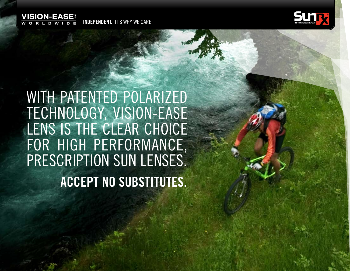

**INDEPENDENT.** IT'S WHY WE CARE.



With patented polarized Technology, Vision-Ease LENS IS THE CLEAR CHOICE for high performance, prescription sun lenses. **Accept No Substitutes.**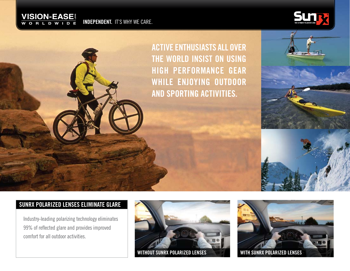

**INDEPENDENT.** IT'S WHY WE CARE.







# **SUNRX POLARIZED LENSES ELIMINATE GLARE**

Industry-leading polarizing technology eliminates 99% of reflected glare and provides improved comfort for all outdoor activities.



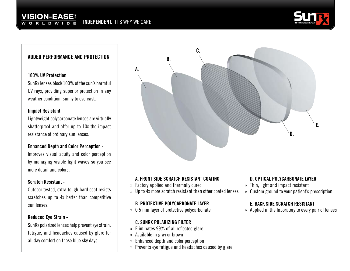## **VISION-EASE® INDEPENDENT.** IT'S WHY WE CARE.



## **ADDED PERFORMANCE AND PROTECTION**

#### **100% UV Protection**

SunRx lenses block 100% of the sun's harmful UV rays, providing superior protection in any weather condition, sunny to overcast.

#### **Impact Resistant**

Lightweight polycarbonate lenses are virtually shatterproof and offer up to 10x the impact resistance of ordinary sun lenses.

### **Enhanced Depth and Color Perception -**

Improves visual acuity and color perception by managing visible light waves so you see more detail and colors.

### **Scratch Resistant -**

Outdoor tested, extra tough hard coat resists scratches up to 4x better than competitive sun lenses.

### **Reduced Eye Strain -**

SunRx polarized lenses help prevent eye strain, fatigue, and headaches caused by glare for all day comfort on those blue sky days.



## **A. FRONT SIDE SCRATCH RESISTANT COATING**

- » Factory applied and thermally cured
- » Up to 4x more scratch resistant than other coated lenses

## **B. protective polycarbonate layer**

» 0.5 mm layer of protective polycarbonate

### **C. SunRx polarizing filter**

- » Eliminates 99% of all reflected glare
- » Available in gray or brown
- » Enhanced depth and color perception
- » Prevents eye fatigue and headaches caused by glare

## **D. Optical polycarbonate layer**

- » Thin, light and impact resistant
- » Custom ground to your patient's prescription

### **E. Back side scratch resistant**

» Applied in the laboratory to every pair of lenses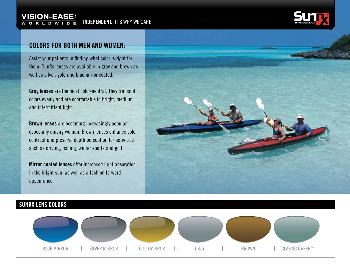

## **Colors for both men and women:**

Assist your patients in finding what color is right for them. SunRx lenses are available in gray and brown as well as silver, gold and blue mirror coated.

**Gray lenses** are the most color-neutral. They transmit colors evenly and are comfortable in bright, medium and intermittent light.

**Brown lenses** are becoming increasingly popular, especially among woman. Brown lenses enhance color contrast and preserve depth perception for activities such as driving, fishing, winter sports and golf.

**Mirror coated lenses** offer increased light absorption in the bright sun, as well as a fashion forward appearance.



## **SUNRX LENS COLORS**